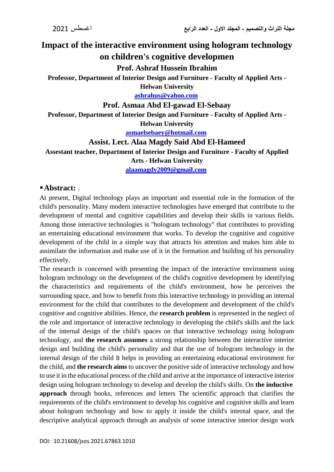# **Impact of the interactive environment using hologram technology on children's cognitive developmen**

#### **Prof. Ashraf Hussein Ibrahim**

**Professor, Department of Interior Design and Furniture - Faculty of Applied Arts -**

**Helwan University [ashrahus@yahoo.com](mailto:ashrahus@yahoo.com)**

## **Prof. Asmaa Abd El-gawad El-Sebaay**

**Professor, Department of Interior Design and Furniture - Faculty of Applied Arts - Helwan University**

**[asmaelsebaey@hotmail.com](mailto:asmaelsebaey@hotmail.com)**

#### **Assist. Lect. Alaa Magdy Said Abd El-Hameed**

**Assestant teacher, Department of Interior Design and Furniture - Faculty of Applied Arts - Helwan University [alaamagdy2009@gmail.com](mailto:alaamagdy2009@gmail.com)**

#### **Abstract:** .

At present, Digital technology plays an important and essential role in the formation of the child's personality. Many modern interactive technologies have emerged that contribute to the development of mental and cognitive capabilities and develop their skills in various fields. Among those interactive technologies is "hologram technology" that contributes to providing an entertaining educational environment that works. To develop the cognitive and cognitive development of the child in a simple way that attracts his attention and makes him able to assimilate the information and make use of it in the formation and building of his personality effectively.

The research is concerned with presenting the impact of the interactive environment using hologram technology on the development of the child's cognitive development by identifying the characteristics and requirements of the child's environment, how he perceives the surrounding space, and how to benefit from this interactive technology in providing an internal environment for the child that contributes to the development and development of the child's cognitive and cognitive abilities. Hence, the **research problem** is represented in the neglect of the role and importance of interactive technology in developing the child's skills and the lack of the internal design of the child's spaces on that interactive technology using hologram technology, and **the research assumes** a strong relationship between the interactive interior design and building the child's personality and that the use of hologram technology in the internal design of the child It helps in providing an entertaining educational environment for the child, and **the research aims** to uncover the positive side of interactive technology and how to use it in the educational process of the child and arrive at the importance of interactive interior design using hologram technology to develop and develop the child's skills. On **the inductive approach** through books, references and letters The scientific approach that clarifies the requirements of the child's environment to develop his cognitive and cognitive skills and learn about hologram technology and how to apply it inside the child's internal space, and the descriptive analytical approach through an analysis of some interactive interior design work